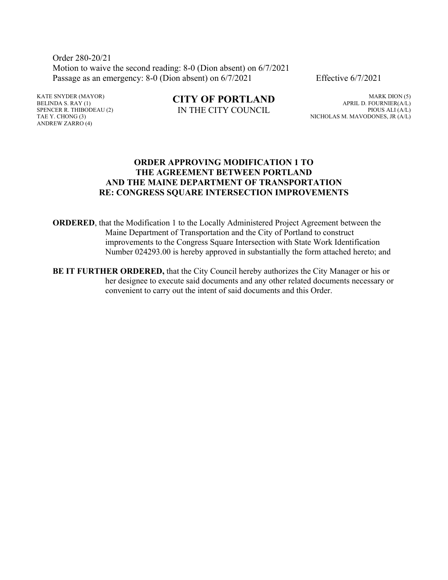Order 280-20/21 Motion to waive the second reading: 8-0 (Dion absent) on 6/7/2021 Passage as an emergency: 8-0 (Dion absent) on  $6/7/2021$  Effective  $6/7/2021$ 

KATE SNYDER (MAYOR) BELINDA S. RAY (1) SPENCER R. THIBODEAU (2) TAE Y. CHONG (3) ANDREW ZARRO (4)

**CITY OF PORTLAND** IN THE CITY COUNCIL

MARK DION (5) APRIL D. FOURNIER(A/L) PIOUS ALI (A/L) NICHOLAS M. MAVODONES, JR (A/L)

#### **ORDER APPROVING MODIFICATION 1 TO THE AGREEMENT BETWEEN PORTLAND AND THE MAINE DEPARTMENT OF TRANSPORTATION RE: CONGRESS SQUARE INTERSECTION IMPROVEMENTS**

**ORDERED**, that the Modification 1 to the Locally Administered Project Agreement between the Maine Department of Transportation and the City of Portland to construct improvements to the Congress Square Intersection with State Work Identification Number 024293.00 is hereby approved in substantially the form attached hereto; and

**BE IT FURTHER ORDERED,** that the City Council hereby authorizes the City Manager or his or her designee to execute said documents and any other related documents necessary or convenient to carry out the intent of said documents and this Order.